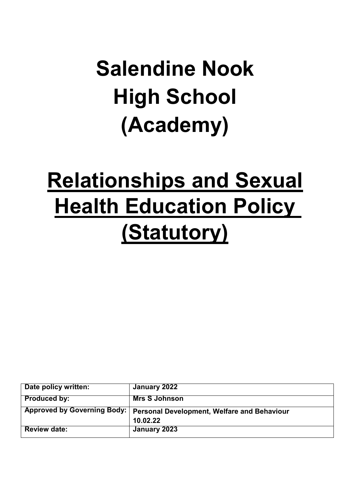# **Salendine Nook High School (Academy)**

# **Relationships and Sexual Health Education Policy (Statutory)**

| Date policy written: | January 2022                                                              |
|----------------------|---------------------------------------------------------------------------|
| <b>Produced by:</b>  | <b>Mrs S Johnson</b>                                                      |
|                      | Approved by Governing Body:   Personal Development, Welfare and Behaviour |
|                      | 10.02.22                                                                  |
| <b>Review date:</b>  | January 2023                                                              |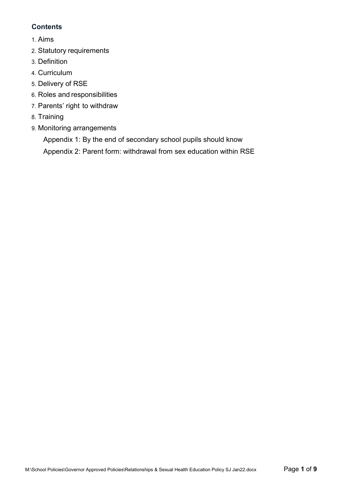#### **Contents**

- 1. [Aims](#page-2-0)
- 2. Statutory [requirements](#page-2-1)
- 3. [Definition](#page-2-2)
- 4. [Curriculum](#page-2-3)
- 5. [Delivery of](#page-2-4) RSE
- 6. Roles and [responsibilities](#page-3-0)
- 7. [Parents' right](#page-3-1) to withdraw
- 8. [Training](#page-3-2)
- 9. [Monitoring arrangements](#page-4-0)

[Appendix 1: By the end of secondary school pupils should know](#page-8-0)

[Appendix 2: Parent form: withdrawal from sex education within RSE](#page-8-0)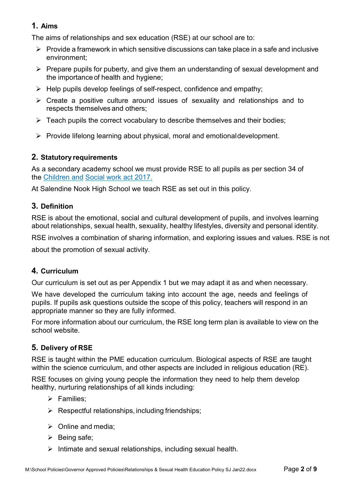## <span id="page-2-0"></span>**1. Aims**

The aims of relationships and sex education (RSE) at our school are to:

- $\triangleright$  Provide a framework in which sensitive discussions can take place in a safe and inclusive environment;
- $\triangleright$  Prepare pupils for puberty, and give them an understanding of sexual development and the importance of health and hygiene;
- $\triangleright$  Help pupils develop feelings of self-respect, confidence and empathy;
- $\triangleright$  Create a positive culture around issues of sexuality and relationships and to respects themselves and others;
- $\triangleright$  Teach pupils the correct vocabulary to describe themselves and their bodies;
- $\triangleright$  Provide lifelong learning about physical, moral and emotional development.

## <span id="page-2-1"></span>**2. Statutory requirements**

As a secondary academy school we must provide RSE to all pupils as per section 34 of the [Children and](http://www.legislation.gov.uk/ukpga/2017/16/section/34/enacted) [Social work act 2017.](http://www.legislation.gov.uk/ukpga/2017/16/section/34/enacted)

At Salendine Nook High School we teach RSE as set out in this policy.

## <span id="page-2-2"></span>**3. Definition**

RSE is about the emotional, social and cultural development of pupils, and involves learning about relationships, sexual health, sexuality, healthy lifestyles, diversity and personal identity.

RSE involves a combination of sharing information, and exploring issues and values. RSE is not

about the promotion of sexual activity.

## <span id="page-2-3"></span>**4. Curriculum**

Our curriculum is set out as per Appendix 1 but we may adapt it as and when necessary.

We have developed the curriculum taking into account the age, needs and feelings of pupils. If pupils ask questions outside the scope of this policy, teachers will respond in an appropriate manner so they are fully informed.

For more information about our curriculum, the RSE long term plan is available to view on the school website.

## <span id="page-2-4"></span>**5. Delivery of RSE**

RSE is taught within the PME education curriculum. Biological aspects of RSE are taught within the science curriculum, and other aspects are included in religious education (RE).

RSE focuses on giving young people the information they need to help them develop healthy, nurturing relationships of all kinds including:

- $\triangleright$  Families:
- $\triangleright$  Respectful relationships, including friendships;
- $\triangleright$  Online and media;
- $\triangleright$  Being safe;
- $\triangleright$  Intimate and sexual relationships, including sexual health.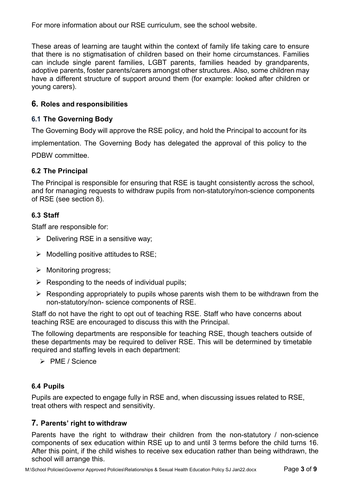<span id="page-3-2"></span>For more information about our RSE curriculum, see the school website.

These areas of learning are taught within the context of family life taking care to ensure that there is no stigmatisation of children based on their home circumstances. Families can include single parent families, LGBT parents, families headed by grandparents, adoptive parents, foster parents/carers amongst other structures. Also, some children may have a different structure of support around them (for example: looked after children or young carers).

#### <span id="page-3-0"></span>**6. Roles and responsibilities**

#### **6.1 The Governing Body**

The Governing Body will approve the RSE policy, and hold the Principal to account for its implementation. The Governing Body has delegated the approval of this policy to the PDBW committee.

#### **6.2 The Principal**

The Principal is responsible for ensuring that RSE is taught consistently across the school, and for managing requests to withdraw pupils from non-statutory/non-science components of RSE (see section 8).

#### **6.3 Staff**

Staff are responsible for:

- $\triangleright$  Delivering RSE in a sensitive way;
- $\triangleright$  Modelling positive attitudes to RSE;
- $\triangleright$  Monitoring progress:
- $\triangleright$  Responding to the needs of individual pupils;
- $\triangleright$  Responding appropriately to pupils whose parents wish them to be withdrawn from the non-statutory/non- science components of RSE.

Staff do not have the right to opt out of teaching RSE. Staff who have concerns about teaching RSE are encouraged to discuss this with the Principal.

The following departments are responsible for teaching RSE, though teachers outside of these departments may be required to deliver RSE. This will be determined by timetable required and staffing levels in each department:

 $\triangleright$  PME / Science

#### **6.4 Pupils**

Pupils are expected to engage fully in RSE and, when discussing issues related to RSE, treat others with respect and sensitivity.

#### <span id="page-3-1"></span>**7. Parents' right to withdraw**

Parents have the right to withdraw their children from the non-statutory / non-science components of sex education within RSE up to and until 3 terms before the child turns 16. After this point, if the child wishes to receive sex education rather than being withdrawn, the school will arrange this.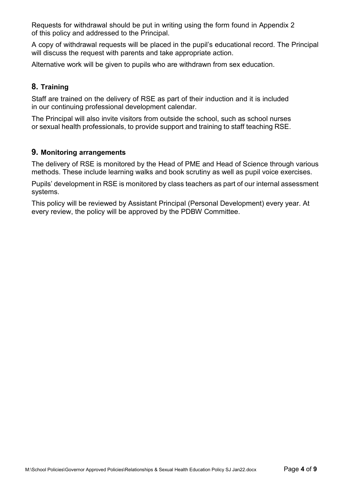Requests for withdrawal should be put in writing using the form found in Appendix 2 of this policy and addressed to the Principal.

A copy of withdrawal requests will be placed in the pupil's educational record. The Principal will discuss the request with parents and take appropriate action.

Alternative work will be given to pupils who are withdrawn from sex education.

## **8. Training**

Staff are trained on the delivery of RSE as part of their induction and it is included in our continuing professional development calendar.

The Principal will also invite visitors from outside the school, such as school nurses or sexual health professionals, to provide support and training to staff teaching RSE.

#### <span id="page-4-0"></span>**9. Monitoring arrangements**

The delivery of RSE is monitored by the Head of PME and Head of Science through various methods. These include learning walks and book scrutiny as well as pupil voice exercises.

Pupils' development in RSE is monitored by class teachers as part of our internal assessment systems.

This policy will be reviewed by Assistant Principal (Personal Development) every year. At every review, the policy will be approved by the PDBW Committee.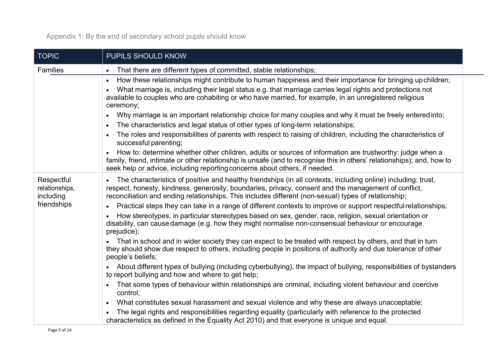Appendix 1: By the end of secondary school pupils should know

| <b>TOPIC</b>                              | PUPILS SHOULD KNOW                                                                                                                                                                                                                                                                                                                                          |  |  |
|-------------------------------------------|-------------------------------------------------------------------------------------------------------------------------------------------------------------------------------------------------------------------------------------------------------------------------------------------------------------------------------------------------------------|--|--|
| Families                                  | That there are different types of committed, stable relationships;<br>$\bullet$                                                                                                                                                                                                                                                                             |  |  |
|                                           | How these relationships might contribute to human happiness and their importance for bringing upchildren;<br>$\bullet$<br>What marriage is, including their legal status e.g. that marriage carries legal rights and protections not<br>available to couples who are cohabiting or who have married, for example, in an unregistered religious<br>ceremony; |  |  |
|                                           | Why marriage is an important relationship choice for many couples and why it must be freely entered into;<br>The characteristics and legal status of other types of long-term relationships;<br>$\bullet$                                                                                                                                                   |  |  |
|                                           | The roles and responsibilities of parents with respect to raising of children, including the characteristics of<br>$\bullet$<br>successful parenting;                                                                                                                                                                                                       |  |  |
|                                           | How to: determine whether other children, adults or sources of information are trustworthy: judge when a<br>family, friend, intimate or other relationship is unsafe (and to recognise this in others' relationships); and, how to<br>seek help or advice, including reporting concerns about others, if needed.                                            |  |  |
| Respectful<br>relationships,<br>including | The characteristics of positive and healthy friendships (in all contexts, including online) including: trust,<br>$\bullet$<br>respect, honesty, kindness, generosity, boundaries, privacy, consent and the management of conflict,<br>reconciliation and ending relationships. This includes different (non-sexual) types of relationship;                  |  |  |
| friendships                               | Practical steps they can take in a range of different contexts to improve or support respectful relationships;<br>$\bullet$                                                                                                                                                                                                                                 |  |  |
|                                           | How stereotypes, in particular stereotypes based on sex, gender, race, religion, sexual orientation or<br>disability, can cause damage (e.g. how they might normalise non-consensual behaviour or encourage<br>prejudice);                                                                                                                                  |  |  |
|                                           | That in school and in wider society they can expect to be treated with respect by others, and that in turn<br>they should show due respect to others, including people in positions of authority and due tolerance of other<br>people's beliefs;                                                                                                            |  |  |
|                                           | About different types of bullying (including cyberbullying), the impact of bullying, responsibilities of bystanders<br>to report bullying and how and where to get help;                                                                                                                                                                                    |  |  |
|                                           | That some types of behaviour within relationships are criminal, including violent behaviour and coercive<br>control;                                                                                                                                                                                                                                        |  |  |
|                                           | What constitutes sexual harassment and sexual violence and why these are always unacceptable;<br>$\bullet$                                                                                                                                                                                                                                                  |  |  |
|                                           | The legal rights and responsibilities regarding equality (particularly with reference to the protected<br>characteristics as defined in the Equality Act 2010) and that everyone is unique and equal.                                                                                                                                                       |  |  |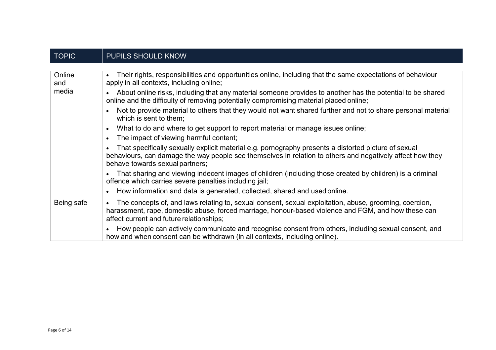| <b>TOPIC</b>           | PUPILS SHOULD KNOW                                                                                                                                                                                                                                                                                                                                                                                                                                                                                                                                                                                                                                                                                                                                                                                                                                                                                                                                                                                                                                                                                                                                                                      |
|------------------------|-----------------------------------------------------------------------------------------------------------------------------------------------------------------------------------------------------------------------------------------------------------------------------------------------------------------------------------------------------------------------------------------------------------------------------------------------------------------------------------------------------------------------------------------------------------------------------------------------------------------------------------------------------------------------------------------------------------------------------------------------------------------------------------------------------------------------------------------------------------------------------------------------------------------------------------------------------------------------------------------------------------------------------------------------------------------------------------------------------------------------------------------------------------------------------------------|
| Online<br>and<br>media | Their rights, responsibilities and opportunities online, including that the same expectations of behaviour<br>apply in all contexts, including online;<br>About online risks, including that any material someone provides to another has the potential to be shared<br>online and the difficulty of removing potentially compromising material placed online;<br>Not to provide material to others that they would not want shared further and not to share personal material<br>which is sent to them:<br>What to do and where to get support to report material or manage issues online;<br>$\bullet$<br>The impact of viewing harmful content;<br>$\bullet$<br>That specifically sexually explicit material e.g. pornography presents a distorted picture of sexual<br>behaviours, can damage the way people see themselves in relation to others and negatively affect how they<br>behave towards sexual partners;<br>That sharing and viewing indecent images of children (including those created by children) is a criminal<br>offence which carries severe penalties including jail;<br>How information and data is generated, collected, shared and used online.<br>$\bullet$ |
| Being safe             | The concepts of, and laws relating to, sexual consent, sexual exploitation, abuse, grooming, coercion,<br>harassment, rape, domestic abuse, forced marriage, honour-based violence and FGM, and how these can<br>affect current and future relationships;<br>How people can actively communicate and recognise consent from others, including sexual consent, and<br>how and when consent can be withdrawn (in all contexts, including online).                                                                                                                                                                                                                                                                                                                                                                                                                                                                                                                                                                                                                                                                                                                                         |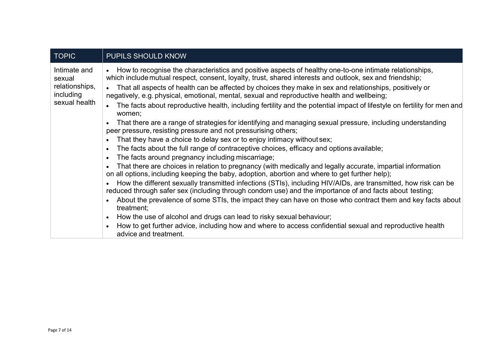| <b>TOPIC</b>                                                           | <b>PUPILS SHOULD KNOW</b>                                                                                                                                                                                                                                                                                                      |
|------------------------------------------------------------------------|--------------------------------------------------------------------------------------------------------------------------------------------------------------------------------------------------------------------------------------------------------------------------------------------------------------------------------|
| Intimate and<br>sexual<br>relationships,<br>including<br>sexual health | How to recognise the characteristics and positive aspects of healthy one-to-one intimate relationships,<br>which include mutual respect, consent, loyalty, trust, shared interests and outlook, sex and friendship;<br>That all aspects of health can be affected by choices they make in sex and relationships, positively or |
|                                                                        | negatively, e.g. physical, emotional, mental, sexual and reproductive health and wellbeing;<br>The facts about reproductive health, including fertility and the potential impact of lifestyle on fertility for men and                                                                                                         |
|                                                                        | women;                                                                                                                                                                                                                                                                                                                         |
|                                                                        | That there are a range of strategies for identifying and managing sexual pressure, including understanding<br>peer pressure, resisting pressure and not pressurising others;                                                                                                                                                   |
|                                                                        | That they have a choice to delay sex or to enjoy intimacy without sex;<br>$\bullet$                                                                                                                                                                                                                                            |
|                                                                        | The facts about the full range of contraceptive choices, efficacy and options available;<br>$\bullet$                                                                                                                                                                                                                          |
|                                                                        | The facts around pregnancy including miscarriage;<br>$\bullet$                                                                                                                                                                                                                                                                 |
|                                                                        | That there are choices in relation to pregnancy (with medically and legally accurate, impartial information<br>on all options, including keeping the baby, adoption, abortion and where to get further help);                                                                                                                  |
|                                                                        | How the different sexually transmitted infections (STIs), including HIV/AIDs, are transmitted, how risk can be<br>reduced through safer sex (including through condom use) and the importance of and facts about testing;                                                                                                      |
|                                                                        | About the prevalence of some STIs, the impact they can have on those who contract them and key facts about<br>treatment;                                                                                                                                                                                                       |
|                                                                        | How the use of alcohol and drugs can lead to risky sexual behaviour;<br>$\bullet$                                                                                                                                                                                                                                              |
|                                                                        | How to get further advice, including how and where to access confidential sexual and reproductive health<br>advice and treatment.                                                                                                                                                                                              |